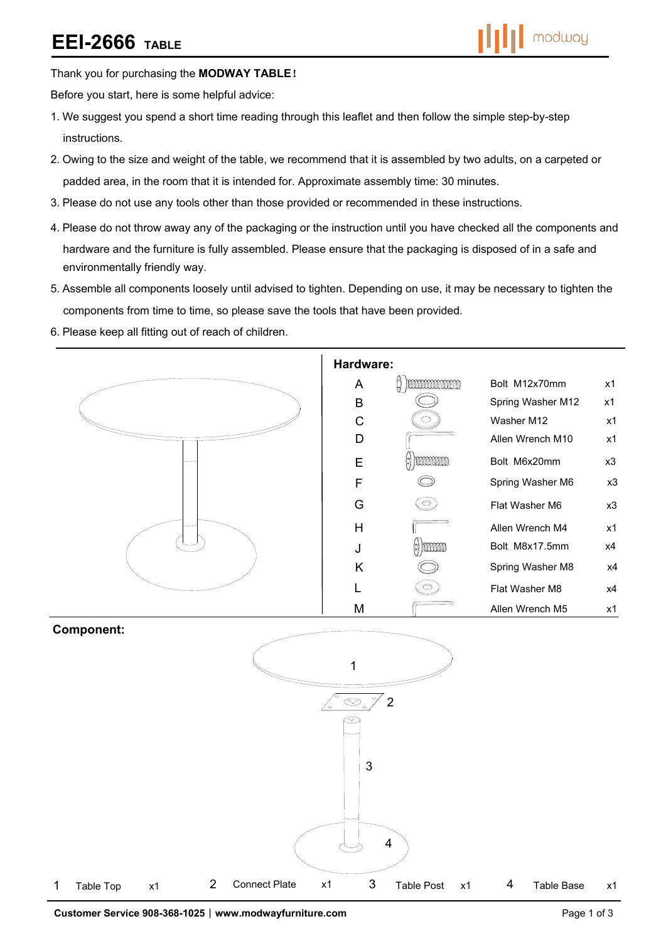# **EEI-2666 TABLE**

## Thank you for purchasing the **MODWAY TABLE**!

Before you start, here is some helpful advice:

- 1.We suggest you spend a short time reading through this leaflet and then follow the simple step-by-step instructions.
- 2.Owing to the size and weight of the table, we recommend that it is assembled by two adults, on a carpeted or padded area, in the room that it is intended for. Approximate assembly time: 30 minutes.
- 3.Please do not use any tools other than those provided or recommended in these instructions.
- 4.Please do not throw away any of the packaging or the instruction until you have checked all the components and hardware and the furniture is fully assembled. Please ensure that the packaging is disposed of in a safe and environmentally friendly way.
- 5.Assemble all components loosely until advised to tighten. Depending on use, it may be necessary to tighten the components from time to time, so please save the tools that have been provided.
- 6.Please keep all fitting out of reach of children.



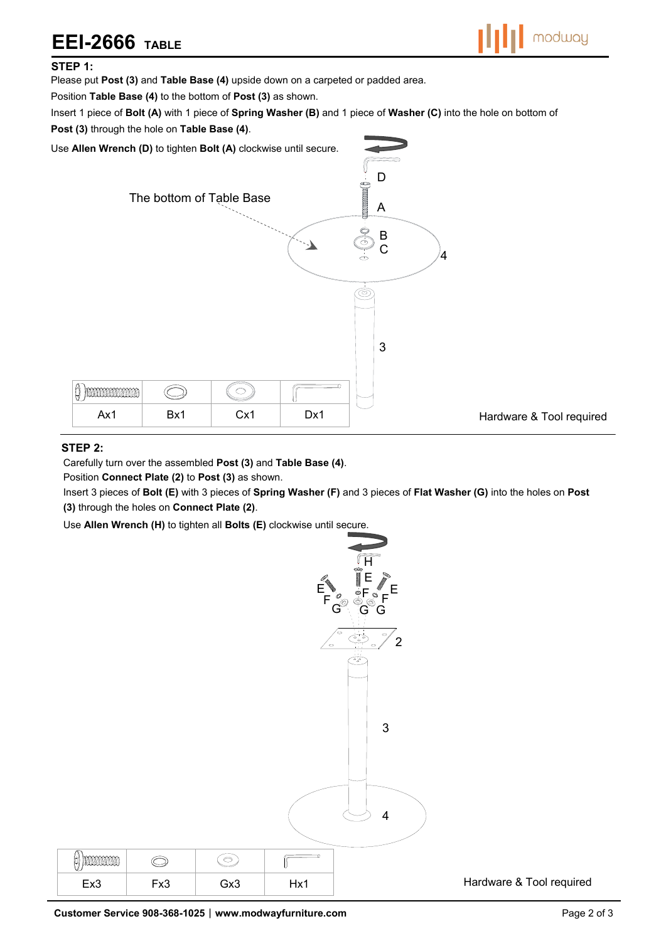# **EEI-2666 TABLE**



#### **STEP 1:**

Please put **Post (3)** and **Table Base (4)** upside down on a carpeted or padded area.

Position **Table Base (4)** to the bottom of **Post (3)** as shown.

Insert 1 piece of **Bolt (A)** with 1 piece of **Spring Washer (B)** and 1 piece of **Washer (C)** into the hole on bottom of

**Post (3)** through the hole on **Table Base (4)**.

Use **Allen Wrench (D)** to tighten **Bolt (A)** clockwise until secure.



### **STEP 2:**

Carefully turn over the assembled **Post (3)** and **Table Base (4)**.

Position **Connect Plate (2)** to **Post (3)** as shown.

Insert 3 pieces of **Bolt (E)** with 3 pieces of **Spring Washer (F)** and 3 pieces of **Flat Washer (G)** into the holes on **Post (3)** through the holes on **Connect Plate (2)**.

Use **Allen Wrench (H)** to tighten all **Bolts (E)** clockwise until secure.